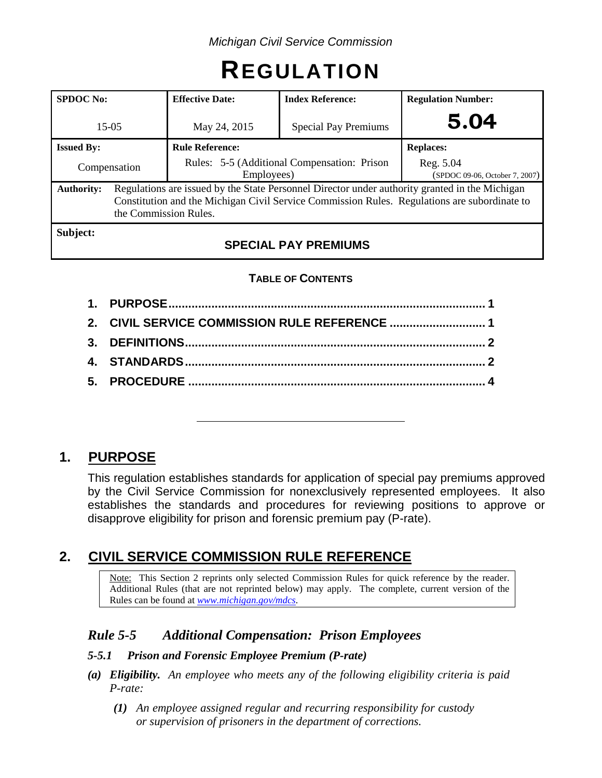# **REGULATION**

| <b>SPDOC</b> No:  |                                                                                                                                                                                                                         | <b>Effective Date:</b>                                    | <b>Index Reference:</b>     | <b>Regulation Number:</b>                   |  |
|-------------------|-------------------------------------------------------------------------------------------------------------------------------------------------------------------------------------------------------------------------|-----------------------------------------------------------|-----------------------------|---------------------------------------------|--|
| $15-0.5$          |                                                                                                                                                                                                                         | May 24, 2015                                              | <b>Special Pay Premiums</b> | 5.04                                        |  |
| <b>Issued By:</b> |                                                                                                                                                                                                                         | <b>Rule Reference:</b>                                    |                             | <b>Replaces:</b>                            |  |
| Compensation      |                                                                                                                                                                                                                         | Rules: 5-5 (Additional Compensation: Prison<br>Employees) |                             | Reg. 5.04<br>(SPDOC 09-06, October 7, 2007) |  |
| <b>Authority:</b> | Regulations are issued by the State Personnel Director under authority granted in the Michigan<br>Constitution and the Michigan Civil Service Commission Rules. Regulations are subordinate to<br>the Commission Rules. |                                                           |                             |                                             |  |
| Subject:          |                                                                                                                                                                                                                         | <b>CDECIAL</b>                                            | <b>DAV DDEMILIMC</b>        |                                             |  |

## **SPECIAL PAY PREMIUMS**

#### **TABLE OF CONTENTS**

| 2. CIVIL SERVICE COMMISSION RULE REFERENCE  1 |  |
|-----------------------------------------------|--|
|                                               |  |
|                                               |  |
|                                               |  |
|                                               |  |

# **1. PURPOSE**

This regulation establishes standards for application of special pay premiums approved by the Civil Service Commission for nonexclusively represented employees. It also establishes the standards and procedures for reviewing positions to approve or disapprove eligibility for prison and forensic premium pay (P-rate).

## **2. CIVIL SERVICE COMMISSION RULE REFERENCE**

Note: This Section 2 reprints only selected Commission Rules for quick reference by the reader. Additional Rules (that are not reprinted below) may apply. The complete, current version of the Rules can be found at *[www.michigan.gov/mdcs](http://www.michigan.gov/mdcs)*.

## *Rule 5-5 Additional Compensation: Prison Employees*

#### *5-5.1 Prison and Forensic Employee Premium (P-rate)*

- *(a) Eligibility. An employee who meets any of the following eligibility criteria is paid P-rate:*
	- *(1) An employee assigned regular and recurring responsibility for custody or supervision of prisoners in the department of corrections.*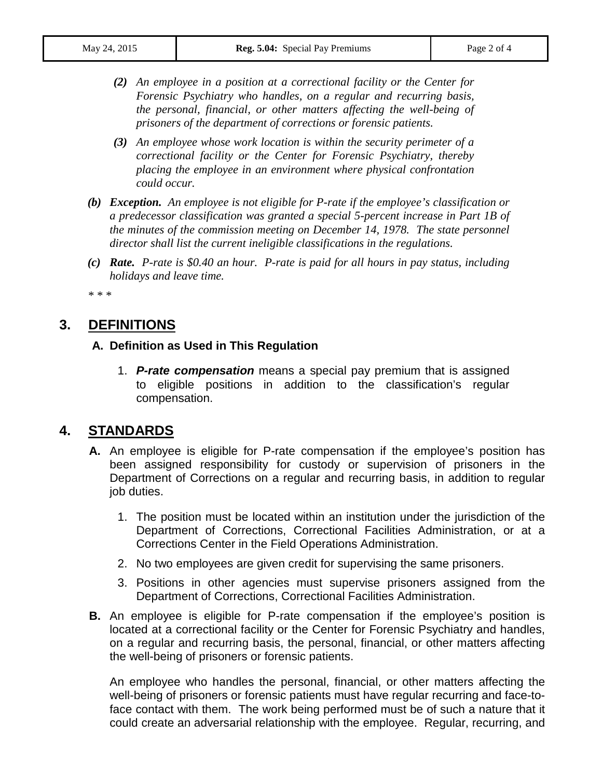- *(2) An employee in a position at a correctional facility or the Center for Forensic Psychiatry who handles, on a regular and recurring basis, the personal, financial, or other matters affecting the well-being of prisoners of the department of corrections or forensic patients.*
- *(3) An employee whose work location is within the security perimeter of a correctional facility or the Center for Forensic Psychiatry, thereby placing the employee in an environment where physical confrontation could occur.*
- *(b) Exception. An employee is not eligible for P-rate if the employee's classification or a predecessor classification was granted a special 5-percent increase in Part 1B of the minutes of the commission meeting on December 14, 1978. The state personnel director shall list the current ineligible classifications in the regulations.*
- *(c) Rate. P-rate is \$0.40 an hour. P-rate is paid for all hours in pay status, including holidays and leave time.*

*\* \* \**

## **3. DEFINITIONS**

#### **A. Definition as Used in This Regulation**

1. *P-rate compensation* means a special pay premium that is assigned to eligible positions in addition to the classification's regular compensation.

#### **4. STANDARDS**

- **A.** An employee is eligible for P-rate compensation if the employee's position has been assigned responsibility for custody or supervision of prisoners in the Department of Corrections on a regular and recurring basis, in addition to regular job duties.
	- 1. The position must be located within an institution under the jurisdiction of the Department of Corrections, Correctional Facilities Administration, or at a Corrections Center in the Field Operations Administration.
	- 2. No two employees are given credit for supervising the same prisoners.
	- 3. Positions in other agencies must supervise prisoners assigned from the Department of Corrections, Correctional Facilities Administration.
- **B.** An employee is eligible for P-rate compensation if the employee's position is located at a correctional facility or the Center for Forensic Psychiatry and handles, on a regular and recurring basis, the personal, financial, or other matters affecting the well-being of prisoners or forensic patients.

An employee who handles the personal, financial, or other matters affecting the well-being of prisoners or forensic patients must have regular recurring and face-toface contact with them. The work being performed must be of such a nature that it could create an adversarial relationship with the employee. Regular, recurring, and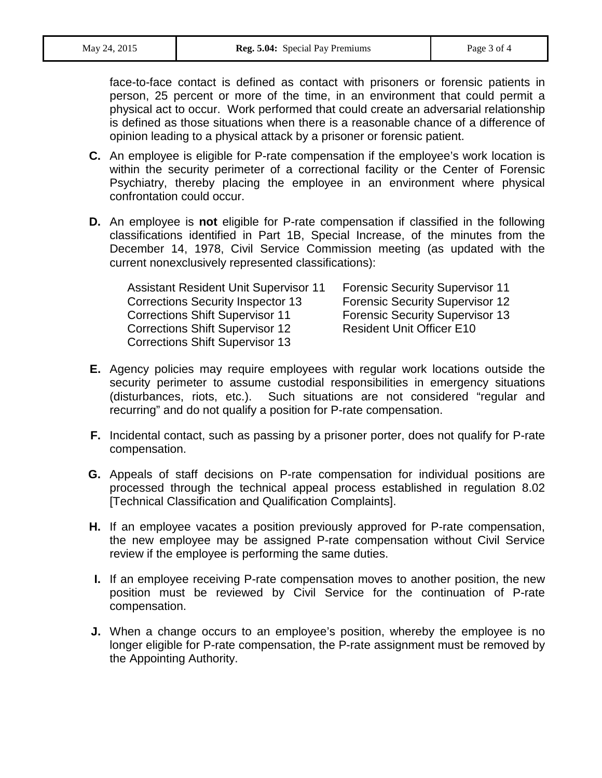face-to-face contact is defined as contact with prisoners or forensic patients in person, 25 percent or more of the time, in an environment that could permit a physical act to occur. Work performed that could create an adversarial relationship is defined as those situations when there is a reasonable chance of a difference of opinion leading to a physical attack by a prisoner or forensic patient.

- **C.** An employee is eligible for P-rate compensation if the employee's work location is within the security perimeter of a correctional facility or the Center of Forensic Psychiatry, thereby placing the employee in an environment where physical confrontation could occur.
- **D.** An employee is **not** eligible for P-rate compensation if classified in the following classifications identified in Part 1B, Special Increase, of the minutes from the December 14, 1978, Civil Service Commission meeting (as updated with the current nonexclusively represented classifications):

| <b>Assistant Resident Unit Supervisor 11</b> | <b>Forensic Security Supervisor 11</b> |
|----------------------------------------------|----------------------------------------|
| <b>Corrections Security Inspector 13</b>     | <b>Forensic Security Supervisor 12</b> |
| <b>Corrections Shift Supervisor 11</b>       | <b>Forensic Security Supervisor 13</b> |
| <b>Corrections Shift Supervisor 12</b>       | <b>Resident Unit Officer E10</b>       |
| <b>Corrections Shift Supervisor 13</b>       |                                        |

- **E.** Agency policies may require employees with regular work locations outside the security perimeter to assume custodial responsibilities in emergency situations (disturbances, riots, etc.). Such situations are not considered "regular and recurring" and do not qualify a position for P-rate compensation.
- **F.** Incidental contact, such as passing by a prisoner porter, does not qualify for P-rate compensation.
- **G.** Appeals of staff decisions on P-rate compensation for individual positions are processed through the technical appeal process established in regulation 8.02 [Technical Classification and Qualification Complaints].
- **H.** If an employee vacates a position previously approved for P-rate compensation, the new employee may be assigned P-rate compensation without Civil Service review if the employee is performing the same duties.
- **I.** If an employee receiving P-rate compensation moves to another position, the new position must be reviewed by Civil Service for the continuation of P-rate compensation.
- **J.** When a change occurs to an employee's position, whereby the employee is no longer eligible for P-rate compensation, the P-rate assignment must be removed by the Appointing Authority.